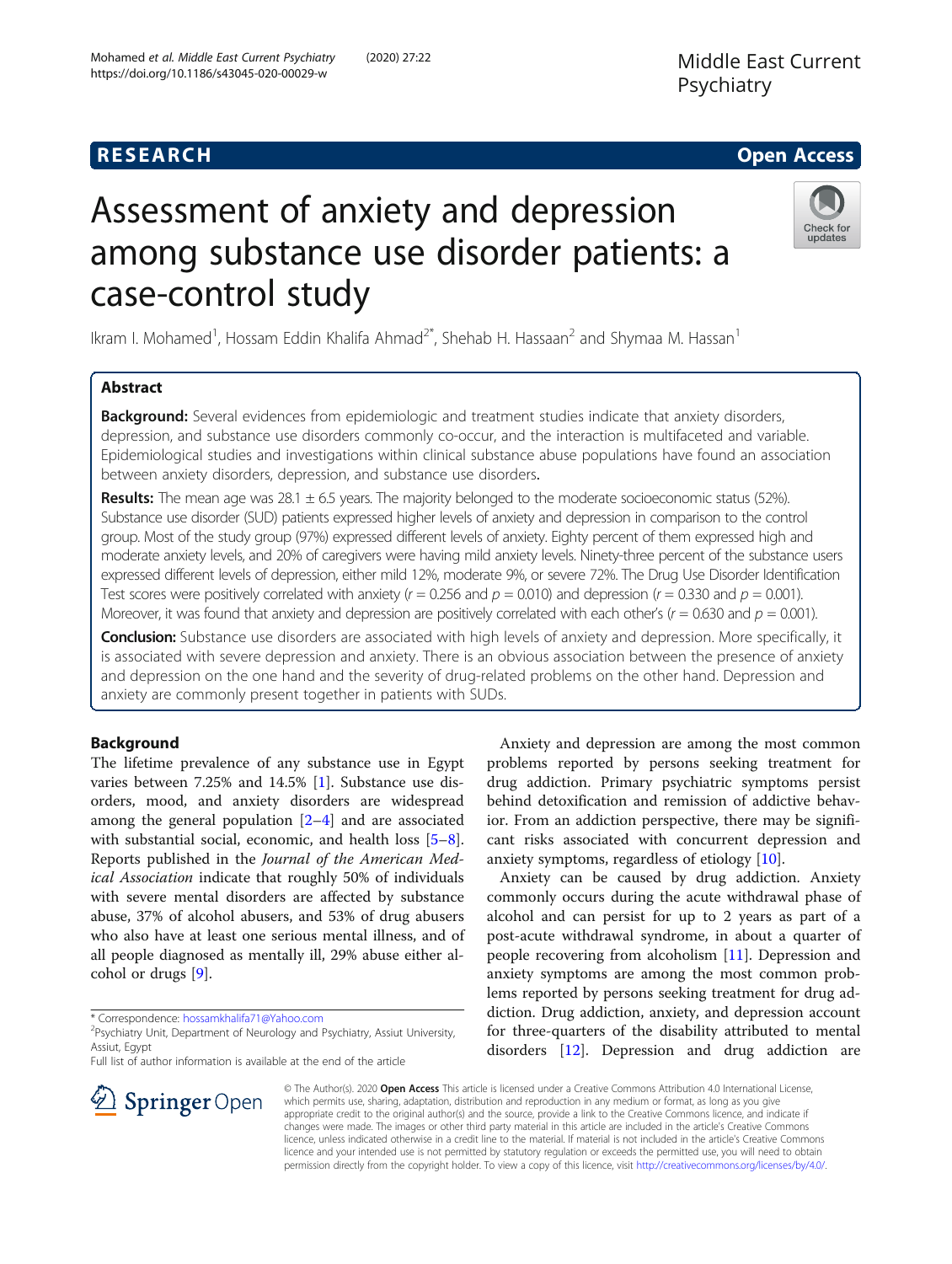# Assessment of anxiety and depression among substance use disorder patients: a case-control study

Ikram I. Mohamed<sup>1</sup>, Hossam Eddin Khalifa Ahmad<sup>2\*</sup>, Shehab H. Hassaan<sup>2</sup> and Shymaa M. Hassan<sup>1</sup>

# Abstract

**Background:** Several evidences from epidemiologic and treatment studies indicate that anxiety disorders, depression, and substance use disorders commonly co-occur, and the interaction is multifaceted and variable. Epidemiological studies and investigations within clinical substance abuse populations have found an association between anxiety disorders, depression, and substance use disorders.

Results: The mean age was 28.1 ± 6.5 years. The majority belonged to the moderate socioeconomic status (52%). Substance use disorder (SUD) patients expressed higher levels of anxiety and depression in comparison to the control group. Most of the study group (97%) expressed different levels of anxiety. Eighty percent of them expressed high and moderate anxiety levels, and 20% of caregivers were having mild anxiety levels. Ninety-three percent of the substance users expressed different levels of depression, either mild 12%, moderate 9%, or severe 72%. The Drug Use Disorder Identification Test scores were positively correlated with anxiety ( $r = 0.256$  and  $p = 0.010$ ) and depression ( $r = 0.330$  and  $p = 0.001$ ). Moreover, it was found that anxiety and depression are positively correlated with each other's ( $r = 0.630$  and  $p = 0.001$ ).

Conclusion: Substance use disorders are associated with high levels of anxiety and depression. More specifically, it is associated with severe depression and anxiety. There is an obvious association between the presence of anxiety and depression on the one hand and the severity of drug-related problems on the other hand. Depression and anxiety are commonly present together in patients with SUDs.

# Background

The lifetime prevalence of any substance use in Egypt varies between 7.25% and 14.5% [[1\]](#page-6-0). Substance use disorders, mood, and anxiety disorders are widespread among the general population  $[2-4]$  $[2-4]$  $[2-4]$  $[2-4]$  $[2-4]$  and are associated with substantial social, economic, and health loss [\[5](#page-6-0)–[8](#page-6-0)]. Reports published in the Journal of the American Medical Association indicate that roughly 50% of individuals with severe mental disorders are affected by substance abuse, 37% of alcohol abusers, and 53% of drug abusers who also have at least one serious mental illness, and of all people diagnosed as mentally ill, 29% abuse either alcohol or drugs [[9\]](#page-6-0).

\* Correspondence: [hossamkhalifa71@Yahoo.com](mailto:hossamkhalifa71@Yahoo.com) <sup>2</sup>

Full list of author information is available at the end of the article

Anxiety and depression are among the most common problems reported by persons seeking treatment for drug addiction. Primary psychiatric symptoms persist behind detoxification and remission of addictive behavior. From an addiction perspective, there may be significant risks associated with concurrent depression and anxiety symptoms, regardless of etiology [\[10](#page-6-0)].

Anxiety can be caused by drug addiction. Anxiety commonly occurs during the acute withdrawal phase of alcohol and can persist for up to 2 years as part of a post-acute withdrawal syndrome, in about a quarter of people recovering from alcoholism [[11\]](#page-6-0). Depression and anxiety symptoms are among the most common problems reported by persons seeking treatment for drug addiction. Drug addiction, anxiety, and depression account for three-quarters of the disability attributed to mental disorders [\[12](#page-6-0)]. Depression and drug addiction are



© The Author(s). 2020 Open Access This article is licensed under a Creative Commons Attribution 4.0 International License, which permits use, sharing, adaptation, distribution and reproduction in any medium or format, as long as you give appropriate credit to the original author(s) and the source, provide a link to the Creative Commons licence, and indicate if changes were made. The images or other third party material in this article are included in the article's Creative Commons licence, unless indicated otherwise in a credit line to the material. If material is not included in the article's Creative Commons licence and your intended use is not permitted by statutory regulation or exceeds the permitted use, you will need to obtain permission directly from the copyright holder. To view a copy of this licence, visit <http://creativecommons.org/licenses/by/4.0/>.





<sup>&</sup>lt;sup>2</sup>Psychiatry Unit, Department of Neurology and Psychiatry, Assiut University, Assiut, Egypt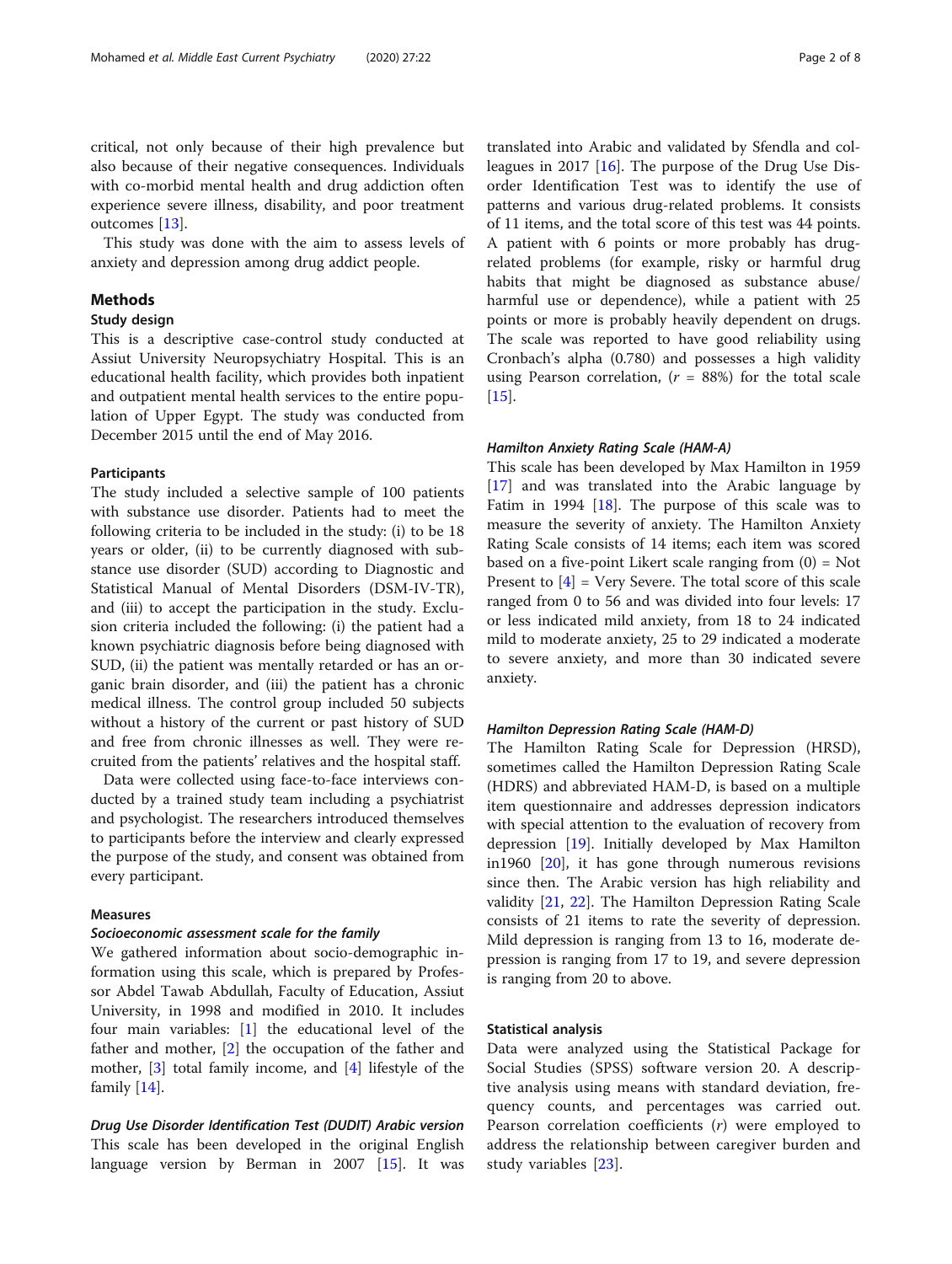critical, not only because of their high prevalence but also because of their negative consequences. Individuals with co-morbid mental health and drug addiction often experience severe illness, disability, and poor treatment outcomes [\[13](#page-6-0)].

This study was done with the aim to assess levels of anxiety and depression among drug addict people.

#### Methods

# Study design

This is a descriptive case-control study conducted at Assiut University Neuropsychiatry Hospital. This is an educational health facility, which provides both inpatient and outpatient mental health services to the entire population of Upper Egypt. The study was conducted from December 2015 until the end of May 2016.

#### **Participants**

The study included a selective sample of 100 patients with substance use disorder. Patients had to meet the following criteria to be included in the study: (i) to be 18 years or older, (ii) to be currently diagnosed with substance use disorder (SUD) according to Diagnostic and Statistical Manual of Mental Disorders (DSM-IV-TR), and (iii) to accept the participation in the study. Exclusion criteria included the following: (i) the patient had a known psychiatric diagnosis before being diagnosed with SUD, (ii) the patient was mentally retarded or has an organic brain disorder, and (iii) the patient has a chronic medical illness. The control group included 50 subjects without a history of the current or past history of SUD and free from chronic illnesses as well. They were recruited from the patients' relatives and the hospital staff.

Data were collected using face-to-face interviews conducted by a trained study team including a psychiatrist and psychologist. The researchers introduced themselves to participants before the interview and clearly expressed the purpose of the study, and consent was obtained from every participant.

#### Measures

#### Socioeconomic assessment scale for the family

We gathered information about socio-demographic information using this scale, which is prepared by Professor Abdel Tawab Abdullah, Faculty of Education, Assiut University, in 1998 and modified in 2010. It includes four main variables: [\[1](#page-6-0)] the educational level of the father and mother, [\[2](#page-6-0)] the occupation of the father and mother, [[3\]](#page-6-0) total family income, and [[4](#page-6-0)] lifestyle of the family [[14\]](#page-6-0).

Drug Use Disorder Identification Test (DUDIT) Arabic version This scale has been developed in the original English language version by Berman in 2007 [[15\]](#page-6-0). It was

translated into Arabic and validated by Sfendla and colleagues in 2017 [[16](#page-7-0)]. The purpose of the Drug Use Disorder Identification Test was to identify the use of patterns and various drug-related problems. It consists of 11 items, and the total score of this test was 44 points. A patient with 6 points or more probably has drugrelated problems (for example, risky or harmful drug habits that might be diagnosed as substance abuse/ harmful use or dependence), while a patient with 25 points or more is probably heavily dependent on drugs. The scale was reported to have good reliability using Cronbach's alpha (0.780) and possesses a high validity using Pearson correlation,  $(r = 88%)$  for the total scale [[15\]](#page-6-0).

#### Hamilton Anxiety Rating Scale (HAM-A)

This scale has been developed by Max Hamilton in 1959 [[17\]](#page-7-0) and was translated into the Arabic language by Fatim in 1994 [[18\]](#page-7-0). The purpose of this scale was to measure the severity of anxiety. The Hamilton Anxiety Rating Scale consists of 14 items; each item was scored based on a five-point Likert scale ranging from  $(0)$  = Not Present to  $[4]$  $[4]$  = Very Severe. The total score of this scale ranged from 0 to 56 and was divided into four levels: 17 or less indicated mild anxiety, from 18 to 24 indicated mild to moderate anxiety, 25 to 29 indicated a moderate to severe anxiety, and more than 30 indicated severe anxiety.

## Hamilton Depression Rating Scale (HAM-D)

The Hamilton Rating Scale for Depression (HRSD), sometimes called the Hamilton Depression Rating Scale (HDRS) and abbreviated HAM-D, is based on a multiple item questionnaire and addresses depression indicators with special attention to the evaluation of recovery from depression [[19\]](#page-7-0). Initially developed by Max Hamilton in1960 [\[20\]](#page-7-0), it has gone through numerous revisions since then. The Arabic version has high reliability and validity [[21,](#page-7-0) [22\]](#page-7-0). The Hamilton Depression Rating Scale consists of 21 items to rate the severity of depression. Mild depression is ranging from 13 to 16, moderate depression is ranging from 17 to 19, and severe depression is ranging from 20 to above.

#### Statistical analysis

Data were analyzed using the Statistical Package for Social Studies (SPSS) software version 20. A descriptive analysis using means with standard deviation, frequency counts, and percentages was carried out. Pearson correlation coefficients (r) were employed to address the relationship between caregiver burden and study variables [\[23](#page-7-0)].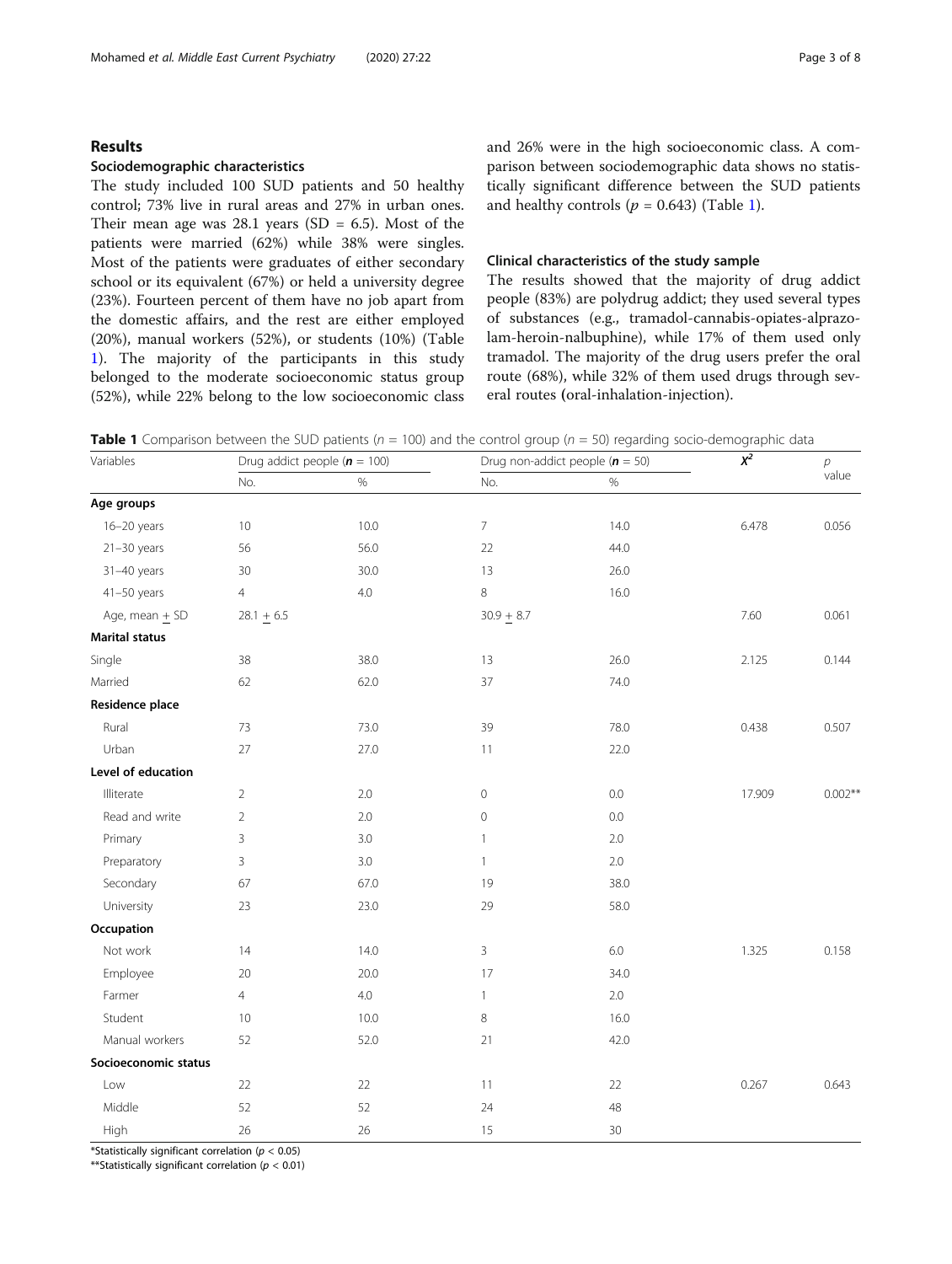## Results

# Sociodemographic characteristics

The study included 100 SUD patients and 50 healthy control; 73% live in rural areas and 27% in urban ones. Their mean age was  $28.1$  years (SD = 6.5). Most of the patients were married (62%) while 38% were singles. Most of the patients were graduates of either secondary school or its equivalent (67%) or held a university degree (23%). Fourteen percent of them have no job apart from the domestic affairs, and the rest are either employed (20%), manual workers (52%), or students (10%) (Table 1). The majority of the participants in this study belonged to the moderate socioeconomic status group (52%), while 22% belong to the low socioeconomic class and 26% were in the high socioeconomic class. A comparison between sociodemographic data shows no statistically significant difference between the SUD patients and healthy controls ( $p = 0.643$ ) (Table 1).

# Clinical characteristics of the study sample

The results showed that the majority of drug addict people (83%) are polydrug addict; they used several types of substances (e.g., tramadol-cannabis-opiates-alprazolam-heroin-nalbuphine), while 17% of them used only tramadol. The majority of the drug users prefer the oral route (68%), while 32% of them used drugs through several routes (oral-inhalation-injection).

| <b>Table 1</b> Comparison between the SUD patients ( $n = 100$ ) and the control group ( $n = 50$ ) regarding socio-demographic data |  |  |  |
|--------------------------------------------------------------------------------------------------------------------------------------|--|--|--|
|--------------------------------------------------------------------------------------------------------------------------------------|--|--|--|

| Variables             |                | Drug addict people $(n = 100)$ |                     | Drug non-addict people $(n = 50)$ |        | $\boldsymbol{p}$ |
|-----------------------|----------------|--------------------------------|---------------------|-----------------------------------|--------|------------------|
|                       | No.            | $\%$                           | No.                 | $\%$                              |        | value            |
| Age groups            |                |                                |                     |                                   |        |                  |
| 16-20 years           | $10$           | 10.0                           | $\overline{7}$      | 14.0                              | 6.478  | 0.056            |
| $21 - 30$ years       | 56             | 56.0                           | 22                  | 44.0                              |        |                  |
| 31-40 years           | 30             | 30.0                           | 13                  | 26.0                              |        |                  |
| $41 - 50$ years       | $\overline{4}$ | 4.0                            | $\,8\,$             | 16.0                              |        |                  |
| Age, mean $+$ SD      | $28.1 + 6.5$   |                                | $30.9 + 8.7$        |                                   | 7.60   | 0.061            |
| <b>Marital status</b> |                |                                |                     |                                   |        |                  |
| Single                | 38             | 38.0                           | 13                  | 26.0                              | 2.125  | 0.144            |
| Married               | 62             | 62.0                           | 37                  | 74.0                              |        |                  |
| Residence place       |                |                                |                     |                                   |        |                  |
| Rural                 | 73             | 73.0                           | 39                  | 78.0                              | 0.438  | 0.507            |
| Urban                 | 27             | 27.0                           | 11                  | 22.0                              |        |                  |
| Level of education    |                |                                |                     |                                   |        |                  |
| Illiterate            | $\overline{2}$ | $2.0\,$                        | $\mathsf{O}\xspace$ | $0.0\,$                           | 17.909 | $0.002**$        |
| Read and write        | $\overline{2}$ | $2.0\,$                        | $\mathbf 0$         | $0.0\,$                           |        |                  |
| Primary               | 3              | $3.0\,$                        | $\mathbf{1}$        | 2.0                               |        |                  |
| Preparatory           | 3              | 3.0                            | $\mathbf{1}$        | 2.0                               |        |                  |
| Secondary             | 67             | 67.0                           | 19                  | 38.0                              |        |                  |
| University            | 23             | 23.0                           | 29                  | 58.0                              |        |                  |
| Occupation            |                |                                |                     |                                   |        |                  |
| Not work              | 14             | 14.0                           | 3                   | $6.0\,$                           | 1.325  | 0.158            |
| Employee              | 20             | 20.0                           | 17                  | 34.0                              |        |                  |
| Farmer                | $\overline{4}$ | $4.0\,$                        | $\mathbf{1}$        | $2.0\,$                           |        |                  |
| Student               | 10             | $10.0\,$                       | 8                   | 16.0                              |        |                  |
| Manual workers        | 52             | 52.0                           | 21                  | 42.0                              |        |                  |
| Socioeconomic status  |                |                                |                     |                                   |        |                  |
| Low                   | 22             | 22                             | 11                  | 22                                | 0.267  | 0.643            |
| Middle                | 52             | 52                             | 24                  | $48\,$                            |        |                  |
| High                  | 26             | 26                             | 15                  | 30                                |        |                  |

\*\*Statistically significant correlation ( $p < 0.01$ )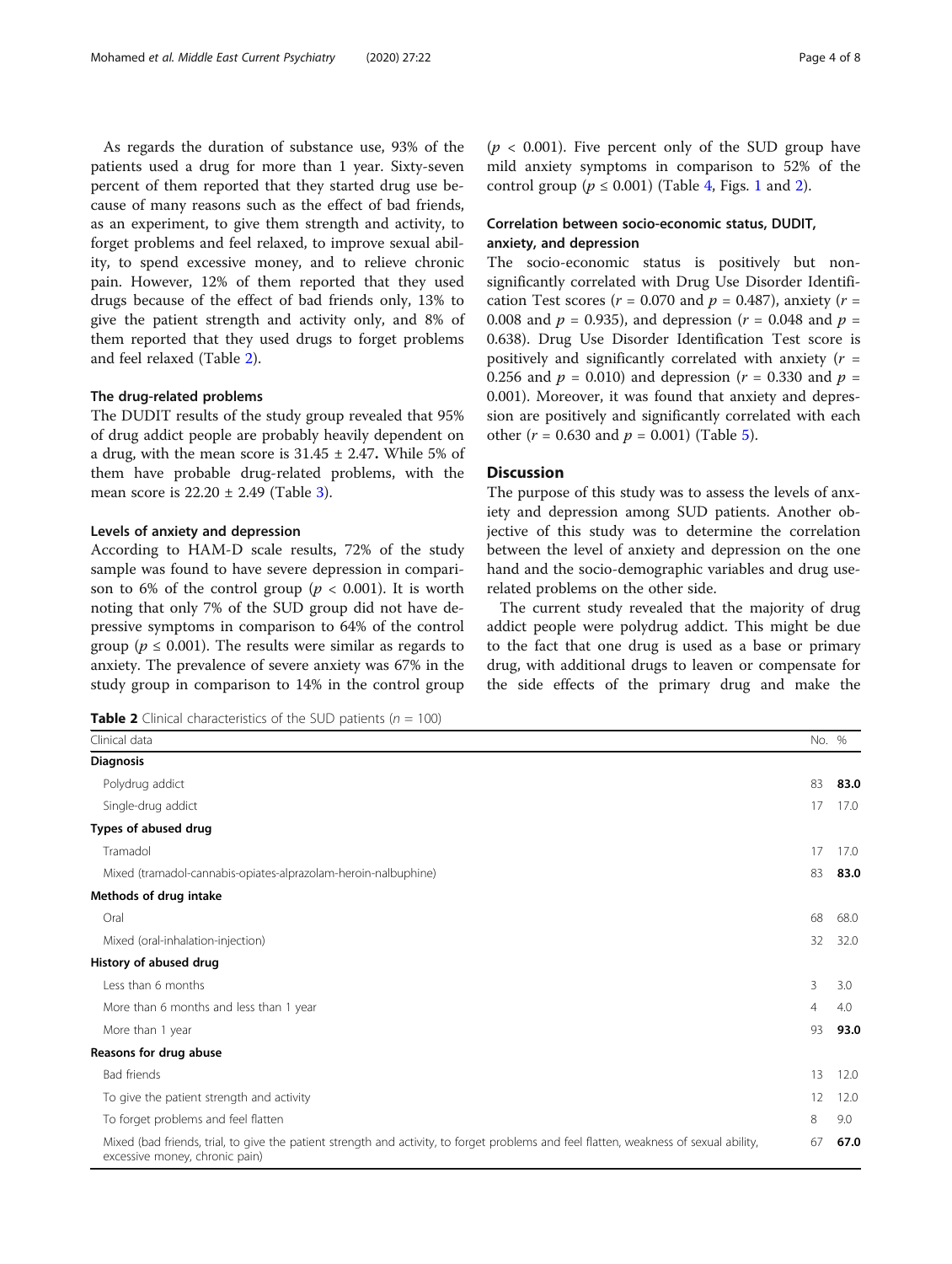As regards the duration of substance use, 93% of the patients used a drug for more than 1 year. Sixty-seven percent of them reported that they started drug use because of many reasons such as the effect of bad friends, as an experiment, to give them strength and activity, to forget problems and feel relaxed, to improve sexual ability, to spend excessive money, and to relieve chronic pain. However, 12% of them reported that they used drugs because of the effect of bad friends only, 13% to give the patient strength and activity only, and 8% of them reported that they used drugs to forget problems and feel relaxed (Table 2).

#### The drug-related problems

The DUDIT results of the study group revealed that 95% of drug addict people are probably heavily dependent on a drug, with the mean score is  $31.45 \pm 2.47$ . While 5% of them have probable drug-related problems, with the mean score is 22.20 ± 2.49 (Table [3\)](#page-4-0).

# Levels of anxiety and depression

According to HAM-D scale results, 72% of the study sample was found to have severe depression in comparison to 6% of the control group ( $p < 0.001$ ). It is worth noting that only 7% of the SUD group did not have depressive symptoms in comparison to 64% of the control group ( $p \leq 0.001$ ). The results were similar as regards to anxiety. The prevalence of severe anxiety was 67% in the study group in comparison to 14% in the control group

| <b>Table 2</b> Clinical characteristics of the SUD patients ( $n = 100$ ) |  |  |  |  |
|---------------------------------------------------------------------------|--|--|--|--|
|---------------------------------------------------------------------------|--|--|--|--|

 $(p < 0.001)$ . Five percent only of the SUD group have mild anxiety symptoms in comparison to 52% of the control group ( $p \le 0.001$  $p \le 0.001$ ) (Table [4,](#page-4-0) Figs. 1 and [2\)](#page-5-0).

# Correlation between socio-economic status, DUDIT, anxiety, and depression

The socio-economic status is positively but nonsignificantly correlated with Drug Use Disorder Identification Test scores ( $r = 0.070$  and  $p = 0.487$ ), anxiety ( $r =$ 0.008 and  $p = 0.935$ , and depression ( $r = 0.048$  and  $p =$ 0.638). Drug Use Disorder Identification Test score is positively and significantly correlated with anxiety  $(r =$ 0.256 and  $p = 0.010$ ) and depression ( $r = 0.330$  and  $p =$ 0.001). Moreover, it was found that anxiety and depression are positively and significantly correlated with each other ( $r = 0.630$  and  $p = 0.001$ ) (Table [5](#page-6-0)).

# **Discussion**

The purpose of this study was to assess the levels of anxiety and depression among SUD patients. Another objective of this study was to determine the correlation between the level of anxiety and depression on the one hand and the socio-demographic variables and drug userelated problems on the other side.

The current study revealed that the majority of drug addict people were polydrug addict. This might be due to the fact that one drug is used as a base or primary drug, with additional drugs to leaven or compensate for the side effects of the primary drug and make the

| Clinical data                                                                                                                                                            | No. %          |      |
|--------------------------------------------------------------------------------------------------------------------------------------------------------------------------|----------------|------|
| <b>Diagnosis</b>                                                                                                                                                         |                |      |
| Polydrug addict                                                                                                                                                          | 83             | 83.0 |
| Single-drug addict                                                                                                                                                       | 17             | 17.0 |
| Types of abused drug                                                                                                                                                     |                |      |
| Tramadol                                                                                                                                                                 | 17             | 17.0 |
| Mixed (tramadol-cannabis-opiates-alprazolam-heroin-nalbuphine)                                                                                                           | 83             | 83.0 |
| Methods of drug intake                                                                                                                                                   |                |      |
| Oral                                                                                                                                                                     | 68             | 68.0 |
| Mixed (oral-inhalation-injection)                                                                                                                                        | 32             | 32.0 |
| History of abused drug                                                                                                                                                   |                |      |
| Less than 6 months                                                                                                                                                       | 3              | 3.0  |
| More than 6 months and less than 1 year                                                                                                                                  | $\overline{4}$ | 4.0  |
| More than 1 year                                                                                                                                                         | 93             | 93.0 |
| Reasons for drug abuse                                                                                                                                                   |                |      |
| <b>Bad friends</b>                                                                                                                                                       | 13             | 12.0 |
| To give the patient strength and activity                                                                                                                                | 12             | 12.0 |
| To forget problems and feel flatten                                                                                                                                      | 8              | 9.0  |
| Mixed (bad friends, trial, to give the patient strength and activity, to forget problems and feel flatten, weakness of sexual ability,<br>excessive money, chronic pain) | 67             | 67.0 |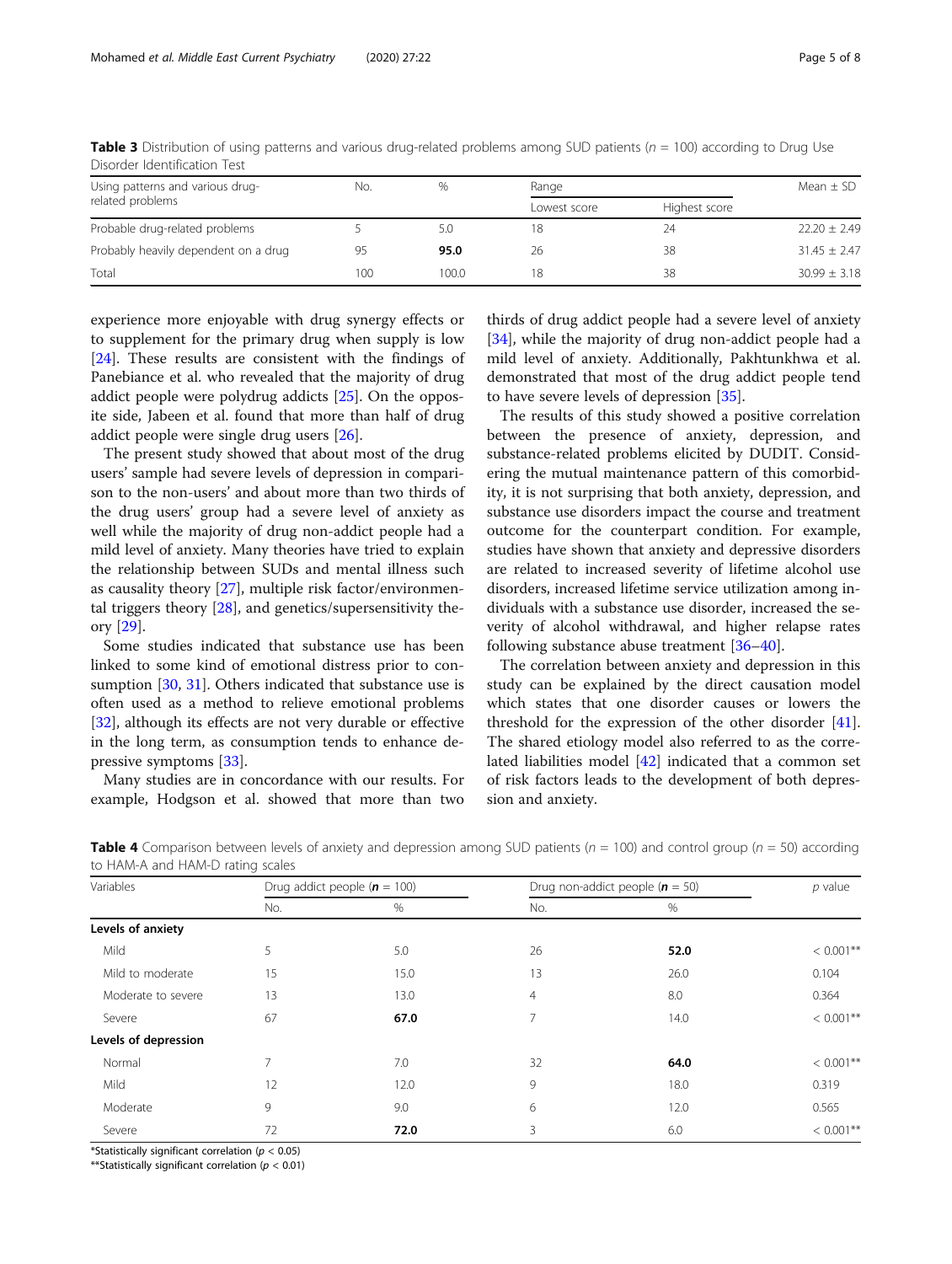| Using patterns and various drug-     | No. | %     | Range        |               |                  |  |
|--------------------------------------|-----|-------|--------------|---------------|------------------|--|
| related problems                     |     |       | Lowest score | Highest score |                  |  |
| Probable drug-related problems       |     | 5.0   | 8            | 24            | $22.20 \pm 2.49$ |  |
| Probably heavily dependent on a drug | 95  | 95.0  | 26           | 38            | $31.45 + 2.47$   |  |
| Total                                | 100 | 100.0 | 18           | 38            | $30.99 + 3.18$   |  |

<span id="page-4-0"></span>**Table 3** Distribution of using patterns and various drug-related problems among SUD patients ( $n = 100$ ) according to Drug Use Disorder Identification Test

experience more enjoyable with drug synergy effects or to supplement for the primary drug when supply is low [[24\]](#page-7-0). These results are consistent with the findings of Panebiance et al. who revealed that the majority of drug addict people were polydrug addicts [[25\]](#page-7-0). On the opposite side, Jabeen et al. found that more than half of drug addict people were single drug users [[26\]](#page-7-0).

The present study showed that about most of the drug users' sample had severe levels of depression in comparison to the non-users' and about more than two thirds of the drug users' group had a severe level of anxiety as well while the majority of drug non-addict people had a mild level of anxiety. Many theories have tried to explain the relationship between SUDs and mental illness such as causality theory [[27\]](#page-7-0), multiple risk factor/environmental triggers theory [[28\]](#page-7-0), and genetics/supersensitivity theory [\[29\]](#page-7-0).

Some studies indicated that substance use has been linked to some kind of emotional distress prior to con-sumption [[30](#page-7-0), [31](#page-7-0)]. Others indicated that substance use is often used as a method to relieve emotional problems [[32\]](#page-7-0), although its effects are not very durable or effective in the long term, as consumption tends to enhance depressive symptoms [[33\]](#page-7-0).

Many studies are in concordance with our results. For example, Hodgson et al. showed that more than two

thirds of drug addict people had a severe level of anxiety [[34\]](#page-7-0), while the majority of drug non-addict people had a mild level of anxiety. Additionally, Pakhtunkhwa et al. demonstrated that most of the drug addict people tend to have severe levels of depression [\[35](#page-7-0)].

The results of this study showed a positive correlation between the presence of anxiety, depression, and substance-related problems elicited by DUDIT. Considering the mutual maintenance pattern of this comorbidity, it is not surprising that both anxiety, depression, and substance use disorders impact the course and treatment outcome for the counterpart condition. For example, studies have shown that anxiety and depressive disorders are related to increased severity of lifetime alcohol use disorders, increased lifetime service utilization among individuals with a substance use disorder, increased the severity of alcohol withdrawal, and higher relapse rates following substance abuse treatment [\[36](#page-7-0)–[40\]](#page-7-0).

The correlation between anxiety and depression in this study can be explained by the direct causation model which states that one disorder causes or lowers the threshold for the expression of the other disorder [\[41](#page-7-0)]. The shared etiology model also referred to as the correlated liabilities model [[42\]](#page-7-0) indicated that a common set of risk factors leads to the development of both depression and anxiety.

| Variables            | Drug addict people $(n = 100)$ |      | Drug non-addict people $(n = 50)$ | $p$ value |              |
|----------------------|--------------------------------|------|-----------------------------------|-----------|--------------|
|                      | No.                            | $\%$ | No.                               | $\%$      |              |
| Levels of anxiety    |                                |      |                                   |           |              |
| Mild                 | 5                              | 5.0  | 26                                | 52.0      | $< 0.001$ ** |
| Mild to moderate     | 15                             | 15.0 | 13                                | 26.0      | 0.104        |
| Moderate to severe   | 13                             | 13.0 | $\overline{4}$                    | 8.0       | 0.364        |
| Severe               | 67                             | 67.0 |                                   | 14.0      | $< 0.001$ ** |
| Levels of depression |                                |      |                                   |           |              |
| Normal               |                                | 7.0  | 32                                | 64.0      | $< 0.001**$  |
| Mild                 | 12                             | 12.0 | 9                                 | 18.0      | 0.319        |
| Moderate             | 9                              | 9.0  | 6                                 | 12.0      | 0.565        |
| Severe               | 72                             | 72.0 | 3                                 | 6.0       | $< 0.001**$  |

**Table 4** Comparison between levels of anxiety and depression among SUD patients ( $n = 100$ ) and control group ( $n = 50$ ) according to HAM-A and HAM-D rating scales

\*Statistically significant correlation ( $p < 0.05$ )

\*\*Statistically significant correlation ( $p < 0.01$ )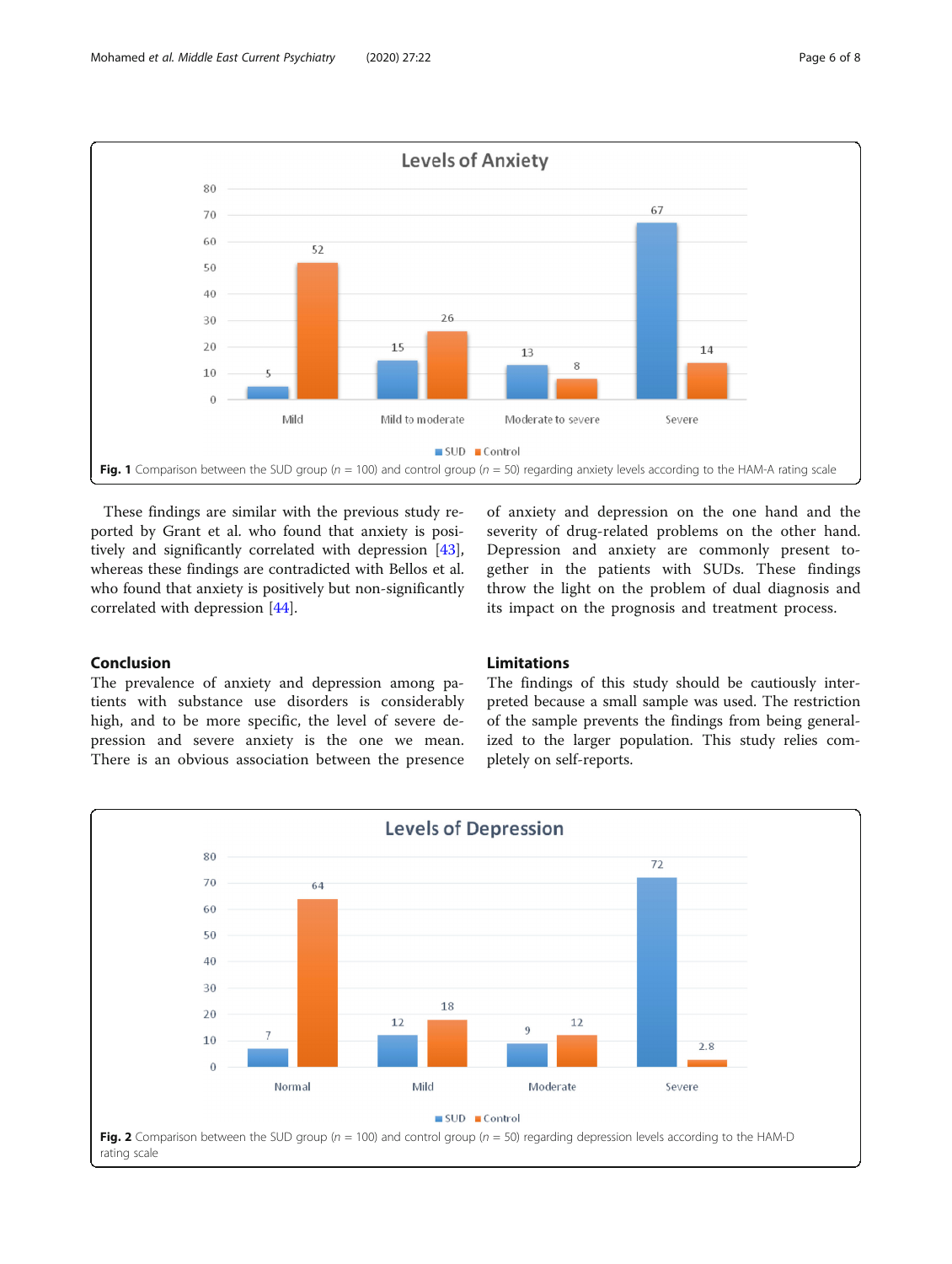<span id="page-5-0"></span>

These findings are similar with the previous study reported by Grant et al. who found that anxiety is positively and significantly correlated with depression [\[43](#page-7-0)], whereas these findings are contradicted with Bellos et al. who found that anxiety is positively but non-significantly correlated with depression [\[44\]](#page-7-0).

Conclusion

The prevalence of anxiety and depression among patients with substance use disorders is considerably high, and to be more specific, the level of severe depression and severe anxiety is the one we mean. There is an obvious association between the presence

Depression and anxiety are commonly present together in the patients with SUDs. These findings throw the light on the problem of dual diagnosis and its impact on the prognosis and treatment process.

severity of drug-related problems on the other hand.

# Limitations

The findings of this study should be cautiously interpreted because a small sample was used. The restriction of the sample prevents the findings from being generalized to the larger population. This study relies completely on self-reports.

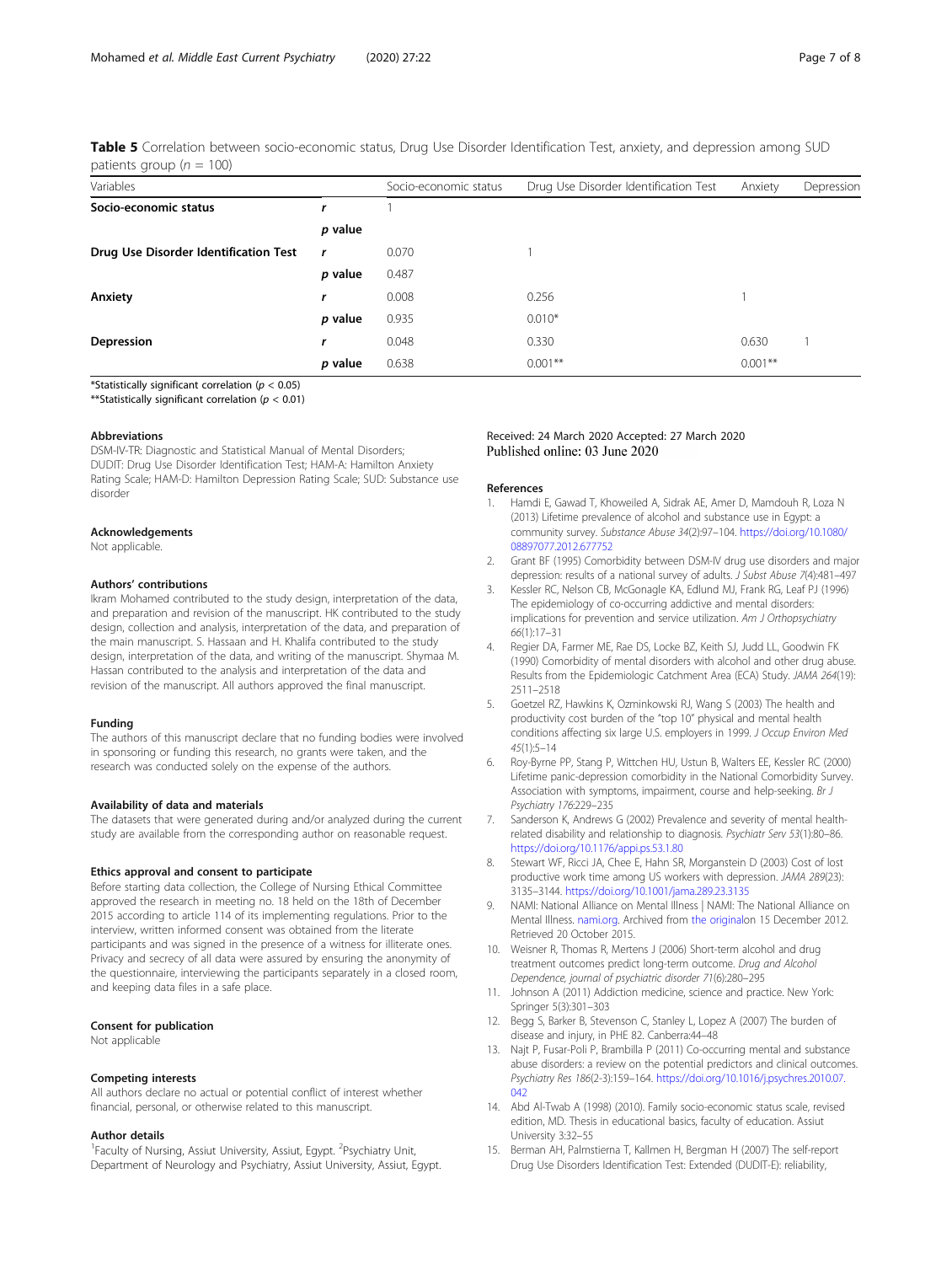<span id="page-6-0"></span>Table 5 Correlation between socio-economic status, Drug Use Disorder Identification Test, anxiety, and depression among SUD patients group ( $n = 100$ )

| Variables                             |              | Socio-economic status | Drug Use Disorder Identification Test | Anxiety   | Depression |
|---------------------------------------|--------------|-----------------------|---------------------------------------|-----------|------------|
| Socio-economic status                 |              |                       |                                       |           |            |
|                                       | p value      |                       |                                       |           |            |
| Drug Use Disorder Identification Test | $\mathbf{r}$ | 0.070                 |                                       |           |            |
|                                       | p value      | 0.487                 |                                       |           |            |
| Anxiety                               |              | 0.008                 | 0.256                                 |           |            |
|                                       | p value      | 0.935                 | $0.010*$                              |           |            |
| Depression                            |              | 0.048                 | 0.330                                 | 0.630     |            |
|                                       | p value      | 0.638                 | $0.001**$                             | $0.001**$ |            |

\*Statistically significant correlation ( $p < 0.05$ )

\*\*Statistically significant correlation ( $p < 0.01$ )

#### Abbreviations

DSM-IV-TR: Diagnostic and Statistical Manual of Mental Disorders; DUDIT: Drug Use Disorder Identification Test; HAM-A: Hamilton Anxiety Rating Scale; HAM-D: Hamilton Depression Rating Scale; SUD: Substance use disorder

#### Acknowledgements

Not applicable.

#### Authors' contributions

Ikram Mohamed contributed to the study design, interpretation of the data, and preparation and revision of the manuscript. HK contributed to the study design, collection and analysis, interpretation of the data, and preparation of the main manuscript. S. Hassaan and H. Khalifa contributed to the study design, interpretation of the data, and writing of the manuscript. Shymaa M. Hassan contributed to the analysis and interpretation of the data and revision of the manuscript. All authors approved the final manuscript.

#### Funding

The authors of this manuscript declare that no funding bodies were involved in sponsoring or funding this research, no grants were taken, and the research was conducted solely on the expense of the authors.

#### Availability of data and materials

The datasets that were generated during and/or analyzed during the current study are available from the corresponding author on reasonable request.

#### Ethics approval and consent to participate

Before starting data collection, the College of Nursing Ethical Committee approved the research in meeting no. 18 held on the 18th of December 2015 according to article 114 of its implementing regulations. Prior to the interview, written informed consent was obtained from the literate participants and was signed in the presence of a witness for illiterate ones. Privacy and secrecy of all data were assured by ensuring the anonymity of the questionnaire, interviewing the participants separately in a closed room, and keeping data files in a safe place.

#### Consent for publication

Not applicable

#### Competing interests

All authors declare no actual or potential conflict of interest whether financial, personal, or otherwise related to this manuscript.

#### Author details

<sup>1</sup> Faculty of Nursing, Assiut University, Assiut, Egypt. <sup>2</sup> Psychiatry Unit, Department of Neurology and Psychiatry, Assiut University, Assiut, Egypt.

# Received: 24 March 2020 Accepted: 27 March 2020 Published online: 03 June 2020

#### References

- 1. Hamdi E, Gawad T, Khoweiled A, Sidrak AE, Amer D, Mamdouh R, Loza N (2013) Lifetime prevalence of alcohol and substance use in Egypt: a community survey. Substance Abuse 34(2):97–104. [https://doi.org/10.1080/](https://doi.org/10.1080/08897077.2012.677752) [08897077.2012.677752](https://doi.org/10.1080/08897077.2012.677752)
- 2. Grant BF (1995) Comorbidity between DSM-IV drug use disorders and major depression: results of a national survey of adults. J Subst Abuse 7(4):481–497
- 3. Kessler RC, Nelson CB, McGonagle KA, Edlund MJ, Frank RG, Leaf PJ (1996) The epidemiology of co-occurring addictive and mental disorders: implications for prevention and service utilization. Am J Orthopsychiatry 66(1):17–31
- 4. Regier DA, Farmer ME, Rae DS, Locke BZ, Keith SJ, Judd LL, Goodwin FK (1990) Comorbidity of mental disorders with alcohol and other drug abuse. Results from the Epidemiologic Catchment Area (ECA) Study. JAMA 264(19): 2511–2518
- 5. Goetzel RZ, Hawkins K, Ozminkowski RJ, Wang S (2003) The health and productivity cost burden of the "top 10" physical and mental health conditions affecting six large U.S. employers in 1999. J Occup Environ Med  $45(1):5-14$
- 6. Roy-Byrne PP, Stang P, Wittchen HU, Ustun B, Walters EE, Kessler RC (2000) Lifetime panic-depression comorbidity in the National Comorbidity Survey. Association with symptoms, impairment, course and help-seeking. Br J Psychiatry 176:229–235
- 7. Sanderson K, Andrews G (2002) Prevalence and severity of mental healthrelated disability and relationship to diagnosis. Psychiatr Serv 53(1):80–86. <https://doi.org/10.1176/appi.ps.53.1.80>
- 8. Stewart WF, Ricci JA, Chee E, Hahn SR, Morganstein D (2003) Cost of lost productive work time among US workers with depression. JAMA 289(23): 3135–3144. <https://doi.org/10.1001/jama.289.23.3135>
- 9. NAMI: National Alliance on Mental Illness | NAMI: The National Alliance on Mental Illness. [nami.org.](http://nami.org) Archived from [the originalo](http://www.nami.org/Content/ContentGroups/CAAC/Sample_Anti-Mental_Health_and_Anti-Psychiatry_State_Legislation_From_Previous_Sessions_.htm)n 15 December 2012. Retrieved 20 October 2015.
- 10. Weisner R, Thomas R, Mertens J (2006) Short-term alcohol and drug treatment outcomes predict long-term outcome. Drug and Alcohol Dependence, journal of psychiatric disorder 71(6):280–295
- 11. Johnson A (2011) Addiction medicine, science and practice. New York: Springer 5(3):301–303
- 12. Begg S, Barker B, Stevenson C, Stanley L, Lopez A (2007) The burden of disease and injury, in PHE 82. Canberra:44–48
- 13. Najt P, Fusar-Poli P, Brambilla P (2011) Co-occurring mental and substance abuse disorders: a review on the potential predictors and clinical outcomes. Psychiatry Res 186(2-3):159–164. [https://doi.org/10.1016/j.psychres.2010.07.](https://doi.org/10.1016/j.psychres.2010.07.042) [042](https://doi.org/10.1016/j.psychres.2010.07.042)
- 14. Abd Al-Twab A (1998) (2010). Family socio-economic status scale, revised edition, MD. Thesis in educational basics, faculty of education. Assiut University 3:32–55
- 15. Berman AH, Palmstierna T, Kallmen H, Bergman H (2007) The self-report Drug Use Disorders Identification Test: Extended (DUDIT-E): reliability,